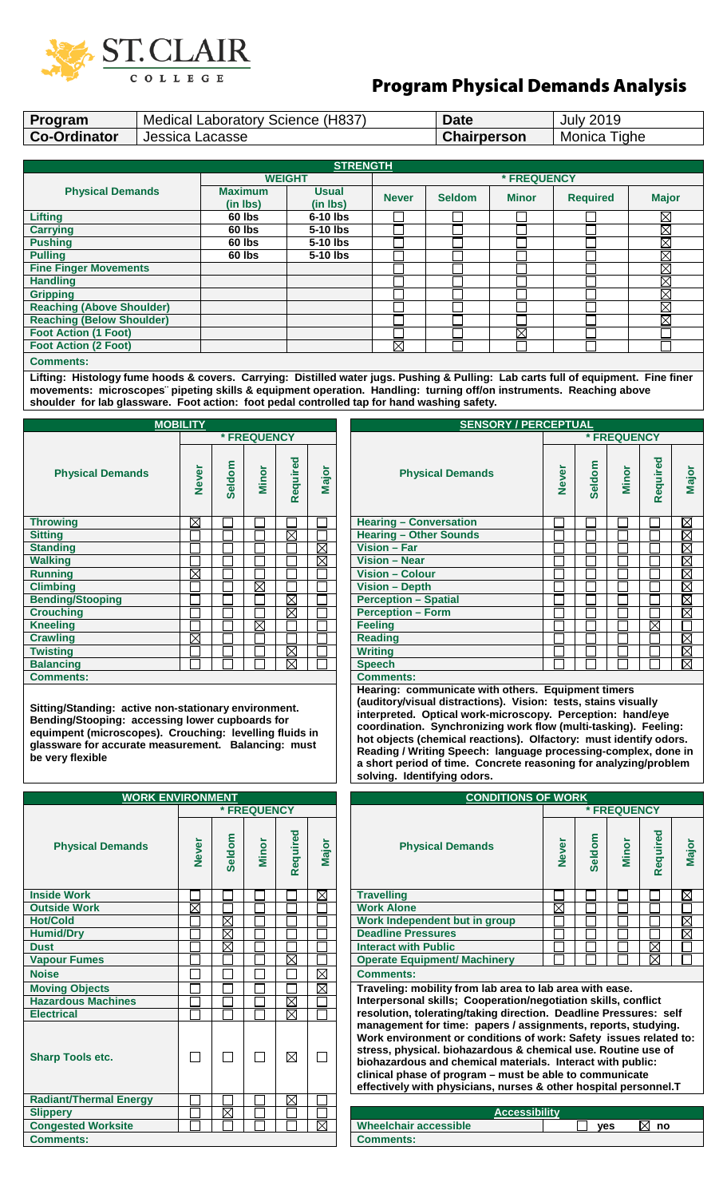

## Program Physical Demands Analysis

| Program                          |                 | Medical Laboratory Science (H837) |                          | <b>Date</b>  |                    | <b>July 2019</b>       |                 |              |  |
|----------------------------------|-----------------|-----------------------------------|--------------------------|--------------|--------------------|------------------------|-----------------|--------------|--|
| <b>Co-Ordinator</b>              | Jessica Lacasse |                                   |                          |              | <b>Chairperson</b> |                        | Monica Tighe    |              |  |
|                                  |                 |                                   |                          |              |                    |                        |                 |              |  |
| <b>STRENGTH</b>                  |                 |                                   |                          |              |                    |                        |                 |              |  |
|                                  |                 | <b>WEIGHT</b>                     |                          |              |                    | * FREQUENCY            |                 |              |  |
| <b>Physical Demands</b>          |                 | <b>Maximum</b><br>(in Ibs)        | <b>Usual</b><br>(in Ibs) | <b>Never</b> | <b>Seldom</b>      | <b>Minor</b>           | <b>Required</b> | <b>Major</b> |  |
| <b>Lifting</b>                   |                 | 60 lbs                            | $6-10$ lbs               |              |                    |                        |                 | $\boxtimes$  |  |
| <b>Carrying</b>                  |                 | 60 lbs                            | 5-10 lbs                 |              |                    |                        |                 | $\boxtimes$  |  |
| <b>Pushing</b>                   |                 | 60 lbs                            | 5-10 lbs                 |              |                    |                        |                 | $\boxtimes$  |  |
| <b>Pulling</b>                   |                 | 60 lbs                            | 5-10 lbs                 |              |                    |                        |                 | $\boxtimes$  |  |
| <b>Fine Finger Movements</b>     |                 |                                   |                          |              |                    |                        |                 | $\boxtimes$  |  |
| <b>Handling</b>                  |                 |                                   |                          |              |                    |                        |                 | $\boxtimes$  |  |
| <b>Gripping</b>                  |                 |                                   |                          |              |                    |                        |                 | $\boxtimes$  |  |
| <b>Reaching (Above Shoulder)</b> |                 |                                   |                          |              |                    |                        |                 | $\boxtimes$  |  |
| <b>Reaching (Below Shoulder)</b> |                 |                                   |                          |              |                    |                        |                 | $\boxtimes$  |  |
| <b>Foot Action (1 Foot)</b>      |                 |                                   |                          |              |                    | $\overline{\boxtimes}$ |                 |              |  |
| <b>Foot Action (2 Foot)</b>      |                 |                                   |                          | $\boxtimes$  |                    |                        |                 |              |  |
| <b>Comments:</b>                 |                 |                                   |                          |              |                    |                        |                 |              |  |

**Lifting: Histology fume hoods & covers. Carrying: Distilled water jugs. Pushing & Pulling: Lab carts full of equipment. Fine finer movements: microscopes¨ pipeting skills & equipment operation. Handling: turning off/on instruments. Reaching above shoulder for lab glassware. Foot action: foot pedal controlled tap for hand washing safety.**

| <b>MOBILITY</b>         | <b>SEN</b>   |        |                    |             |             |                               |
|-------------------------|--------------|--------|--------------------|-------------|-------------|-------------------------------|
|                         |              |        | <b>* FREQUENCY</b> |             |             |                               |
| <b>Physical Demands</b> | <b>Never</b> | Seldom | Minor              | Required    | Major       | <b>Physical Deman</b>         |
| <b>Throwing</b>         | $\boxtimes$  |        |                    |             |             | <b>Hearing - Conversation</b> |
| <b>Sitting</b>          |              |        |                    | X           |             | <b>Hearing - Other Sounds</b> |
| <b>Standing</b>         |              |        |                    |             | $\boxtimes$ | <b>Vision - Far</b>           |
| <b>Walking</b>          |              |        |                    |             | $\times$    | <b>Vision - Near</b>          |
| <b>Running</b>          | $\boxtimes$  |        |                    |             |             | <b>Vision - Colour</b>        |
| <b>Climbing</b>         |              |        | $\boxtimes$        |             |             | <b>Vision - Depth</b>         |
| <b>Bending/Stooping</b> |              |        |                    | M           |             | <b>Perception - Spatial</b>   |
| <b>Crouching</b>        |              |        |                    | ⊠           |             | <b>Perception - Form</b>      |
| <b>Kneeling</b>         |              |        | $\boxtimes$        |             |             | <b>Feeling</b>                |
| <b>Crawling</b>         | $\times$     |        |                    |             |             | <b>Reading</b>                |
| <b>Twisting</b>         |              |        |                    | $\boxtimes$ |             | <b>Writing</b>                |
| <b>Balancing</b>        |              |        |                    | ⊠           |             | <b>Speech</b>                 |
| <b>Comments:</b>        |              |        |                    |             |             | <b>Comments:</b>              |

**Sitting/Standing: active non-stationary environment. Bending/Stooping: accessing lower cupboards for equimpent (microscopes). Crouching: levelling fluids in glassware for accurate measurement. Balancing: must be very flexible** 

| <b>WORK ENVIRONMENT</b>       |                   |                        |              |                         |             | <b>CONDITIONS OF WORK</b>                                                                                                                                                                                                                                                                                                                             |
|-------------------------------|-------------------|------------------------|--------------|-------------------------|-------------|-------------------------------------------------------------------------------------------------------------------------------------------------------------------------------------------------------------------------------------------------------------------------------------------------------------------------------------------------------|
|                               |                   |                        | * FREQUENCY  |                         |             | * FREQUE                                                                                                                                                                                                                                                                                                                                              |
| <b>Physical Demands</b>       | <b>Never</b>      | Seldom                 | <b>Minor</b> | lequired<br>$\tilde{r}$ | Major       | Seldom<br>Minor<br><b>Never</b><br><b>Physical Demands</b>                                                                                                                                                                                                                                                                                            |
| <b>Inside Work</b>            |                   |                        |              |                         | $\boxtimes$ | <b>Travelling</b>                                                                                                                                                                                                                                                                                                                                     |
| <b>Outside Work</b>           | Χ                 |                        |              |                         |             | $\boxtimes$<br><b>Work Alone</b>                                                                                                                                                                                                                                                                                                                      |
| <b>Hot/Cold</b>               |                   | X                      |              |                         |             | Work Independent but in group                                                                                                                                                                                                                                                                                                                         |
| <b>Humid/Dry</b>              |                   | $\overline{\boxtimes}$ |              |                         |             | <b>Deadline Pressures</b>                                                                                                                                                                                                                                                                                                                             |
| <b>Dust</b>                   |                   | $\boxtimes$            |              |                         |             | <b>Interact with Public</b>                                                                                                                                                                                                                                                                                                                           |
| <b>Vapour Fumes</b>           |                   |                        |              | $\boxtimes$             |             | <b>Operate Equipment/ Machinery</b>                                                                                                                                                                                                                                                                                                                   |
| <b>Noise</b>                  |                   |                        |              |                         | $\boxtimes$ | <b>Comments:</b>                                                                                                                                                                                                                                                                                                                                      |
| <b>Moving Objects</b>         |                   |                        |              |                         | $\boxtimes$ | Traveling: mobility from lab area to lab area with ease.                                                                                                                                                                                                                                                                                              |
| <b>Hazardous Machines</b>     |                   |                        |              | $\boxtimes$             |             | Interpersonal skills; Cooperation/negotiation skills, co                                                                                                                                                                                                                                                                                              |
| <b>Electrical</b>             |                   |                        |              | $\boxtimes$             |             | resolution, tolerating/taking direction. Deadline Pressu                                                                                                                                                                                                                                                                                              |
| <b>Sharp Tools etc.</b>       | $\vert \ \ \vert$ |                        | П            | $\boxtimes$             | $\Box$      | management for time: papers / assignments, reports, s<br>Work environment or conditions of work: Safety issue<br>stress, physical. biohazardous & chemical use. Routine<br>biohazardous and chemical materials. Interact with pu<br>clinical phase of program - must be able to communica<br>effectively with physicians, nurses & other hospital per |
| <b>Radiant/Thermal Energy</b> |                   |                        |              | $\boxtimes$             |             |                                                                                                                                                                                                                                                                                                                                                       |
| <b>Slippery</b>               |                   | $\boxtimes$            |              |                         |             | <b>Accessibility</b>                                                                                                                                                                                                                                                                                                                                  |
| <b>Congested Worksite</b>     |                   |                        |              |                         | ⊠           | <b>Wheelchair accessible</b><br><b>ves</b>                                                                                                                                                                                                                                                                                                            |
| <b>Comments:</b>              |                   |                        |              |                         |             | <b>Comments:</b>                                                                                                                                                                                                                                                                                                                                      |

| <b>MOBILITY</b> |             |             |             |             |                | <b>SENSORY / PERCEPTUAL</b>   |              |        |       |             |                        |  |  |
|-----------------|-------------|-------------|-------------|-------------|----------------|-------------------------------|--------------|--------|-------|-------------|------------------------|--|--|
|                 | * FREQUENCY |             |             |             |                |                               | * FREQUENCY  |        |       |             |                        |  |  |
| <b>Never</b>    | Seldom      | Minor       | Required    | Major       |                | <b>Physical Demands</b>       | <b>Never</b> | Seldom | Minor | Required    | Major                  |  |  |
| $\boxtimes$     |             |             |             |             |                | <b>Hearing - Conversation</b> |              |        |       |             | $\boxtimes$            |  |  |
|                 |             |             | $\boxtimes$ |             |                | <b>Hearing - Other Sounds</b> |              |        |       |             | $\boxtimes$            |  |  |
|                 |             |             |             | $\boxtimes$ |                | Vision - Far                  |              |        |       |             | <b>MM</b>              |  |  |
|                 |             |             |             | $\boxtimes$ |                | <b>Vision - Near</b>          |              |        |       |             |                        |  |  |
| $\boxtimes$     |             |             |             |             |                | <b>Vision - Colour</b>        |              |        |       |             | $\overline{\boxtimes}$ |  |  |
|                 |             | $\boxtimes$ |             |             |                | <b>Vision - Depth</b>         |              |        |       |             | ⊠                      |  |  |
|                 |             |             | $\boxtimes$ |             |                | <b>Perception - Spatial</b>   |              |        |       |             | $\boxtimes$            |  |  |
|                 |             |             | $\times$    |             |                | <b>Perception - Form</b>      |              |        |       |             | $\boxtimes$            |  |  |
|                 |             | ⊠           |             |             |                | <b>Feeling</b>                |              |        |       | $\boxtimes$ |                        |  |  |
| $\boxtimes$     |             |             |             |             |                | <b>Reading</b>                |              |        |       |             | $\boxtimes$            |  |  |
|                 |             |             | X           |             | <b>Writing</b> |                               |              |        |       |             | $\boxtimes$            |  |  |
|                 |             |             | $\boxtimes$ |             |                | <b>Speech</b>                 |              |        |       |             | $\boxtimes$            |  |  |
|                 |             |             |             |             |                | $O$ is the top in the $\sim$  |              |        |       |             |                        |  |  |

**Hearing: communicate with others. Equipment timers (auditory/visual distractions). Vision: tests, stains visually interpreted. Optical work-microscopy. Perception: hand/eye coordination. Synchronizing work flow (multi-tasking). Feeling: hot objects (chemical reactions). Olfactory: must identify odors. Reading / Writing Speech: language processing-complex, done in a short period of time. Concrete reasoning for analyzing/problem solving. Identifying odors.** 

| <b>WORK ENVIRONMENT</b> |              |             |                    |             |             | <b>CONDITIONS OF WORK</b>                                                                                                                                                                                                                                                                                                                                                                        |  |  |  |  |  |  |
|-------------------------|--------------|-------------|--------------------|-------------|-------------|--------------------------------------------------------------------------------------------------------------------------------------------------------------------------------------------------------------------------------------------------------------------------------------------------------------------------------------------------------------------------------------------------|--|--|--|--|--|--|
|                         |              |             | <b>* FREQUENCY</b> |             |             | * FREQUENCY                                                                                                                                                                                                                                                                                                                                                                                      |  |  |  |  |  |  |
| ands                    | <b>Never</b> | Seldom      | <b>Minor</b>       | Required    | Major       | Required<br>Seldom<br><b>Never</b><br>Major<br>Minor<br><b>Physical Demands</b>                                                                                                                                                                                                                                                                                                                  |  |  |  |  |  |  |
|                         |              |             |                    |             | $\boxtimes$ | $\boxtimes$<br><b>Travelling</b>                                                                                                                                                                                                                                                                                                                                                                 |  |  |  |  |  |  |
|                         | Χ            |             |                    |             |             | <b>Work Alone</b><br>$\boxtimes$                                                                                                                                                                                                                                                                                                                                                                 |  |  |  |  |  |  |
|                         |              | $\boxtimes$ |                    |             |             | $\boxtimes$<br>Work Independent but in group                                                                                                                                                                                                                                                                                                                                                     |  |  |  |  |  |  |
|                         |              | $\boxtimes$ |                    |             |             | Ø<br><b>Deadline Pressures</b>                                                                                                                                                                                                                                                                                                                                                                   |  |  |  |  |  |  |
|                         |              | $\boxtimes$ |                    |             |             | <b>Interact with Public</b><br>$\boxtimes$                                                                                                                                                                                                                                                                                                                                                       |  |  |  |  |  |  |
|                         |              |             |                    | ⊠           |             | ⊠<br><b>Operate Equipment/ Machinery</b>                                                                                                                                                                                                                                                                                                                                                         |  |  |  |  |  |  |
|                         |              |             |                    |             | $\boxtimes$ | <b>Comments:</b>                                                                                                                                                                                                                                                                                                                                                                                 |  |  |  |  |  |  |
|                         |              |             |                    |             | $\boxtimes$ | Traveling: mobility from lab area to lab area with ease.                                                                                                                                                                                                                                                                                                                                         |  |  |  |  |  |  |
| <b>es</b>               |              |             |                    | $\boxtimes$ |             | Interpersonal skills; Cooperation/negotiation skills, conflict                                                                                                                                                                                                                                                                                                                                   |  |  |  |  |  |  |
|                         |              |             |                    | ⊠           |             | resolution, tolerating/taking direction. Deadline Pressures: self                                                                                                                                                                                                                                                                                                                                |  |  |  |  |  |  |
|                         |              |             |                    | ⊠           |             | management for time: papers / assignments, reports, studying.<br>Work environment or conditions of work: Safety issues related to:<br>stress, physical. biohazardous & chemical use. Routine use of<br>biohazardous and chemical materials. Interact with public:<br>clinical phase of program - must be able to communicate<br>effectively with physicians, nurses & other hospital personnel.T |  |  |  |  |  |  |
| inergy:                 |              |             |                    | $\boxtimes$ |             |                                                                                                                                                                                                                                                                                                                                                                                                  |  |  |  |  |  |  |
|                         |              | 罓           |                    |             |             | <b>Accoccibility</b>                                                                                                                                                                                                                                                                                                                                                                             |  |  |  |  |  |  |

| Slippery                  | XI |  | _           | Accessibilitv         |                          |
|---------------------------|----|--|-------------|-----------------------|--------------------------|
| <b>Congested Worksite</b> |    |  | $\boxtimes$ | Wheelchair accessible | $\boxtimes$<br>ves<br>ng |
| <b>Comments:</b>          |    |  |             | <b>Comments:</b>      |                          |